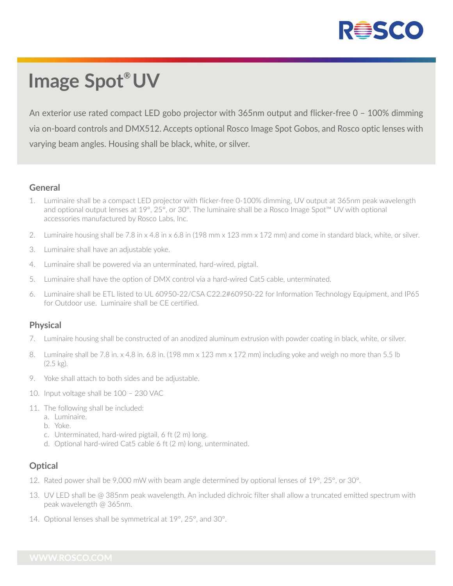

# **Image Spot® UV**

An exterior use rated compact LED gobo projector with 365nm output and flicker-free 0 – 100% dimming via on-board controls and DMX512. Accepts optional Rosco Image Spot Gobos, and Rosco optic lenses with varying beam angles. Housing shall be black, white, or silver.

### **General**

- 1. Luminaire shall be a compact LED projector with flicker-free 0-100% dimming, UV output at 365nm peak wavelength and optional output lenses at 19°, 25°, or 30°. The luminaire shall be a Rosco Image Spot™ UV with optional accessories manufactured by Rosco Labs, Inc.
- 2. Luminaire housing shall be 7.8 in x 4.8 in x 6.8 in (198 mm x 123 mm x 172 mm) and come in standard black, white, or silver.
- 3. Luminaire shall have an adjustable yoke.
- 4. Luminaire shall be powered via an unterminated, hard-wired, pigtail.
- 5. Luminaire shall have the option of DMX control via a hard-wired Cat5 cable, unterminated.
- 6. Luminaire shall be ETL listed to UL 60950-22/CSA C22.2#60950-22 for Information Technology Equipment, and IP65 for Outdoor use. Luminaire shall be CE certified.

## **Physical**

- 7. Luminaire housing shall be constructed of an anodized aluminum extrusion with powder coating in black, white, or silver.
- 8. Luminaire shall be 7.8 in. x 4.8 in. 6.8 in. (198 mm x 123 mm x 172 mm) including yoke and weigh no more than 5.5 lb (2.5 kg).
- 9. Yoke shall attach to both sides and be adjustable.
- 10. Input voltage shall be 100 230 VAC
- 11. The following shall be included:
	- a. Luminaire.
	- b. Yoke.
	- c. Unterminated, hard-wired pigtail, 6 ft (2 m) long.
	- d. Optional hard-wired Cat5 cable 6 ft (2 m) long, unterminated.

## **Optical**

- 12. Rated power shall be 9,000 mW with beam angle determined by optional lenses of 19°, 25°, or 30°.
- 13. UV LED shall be @ 385nm peak wavelength. An included dichroic filter shall allow a truncated emitted spectrum with peak wavelength @ 365nm.
- 14. Optional lenses shall be symmetrical at 19°, 25°, and 30°.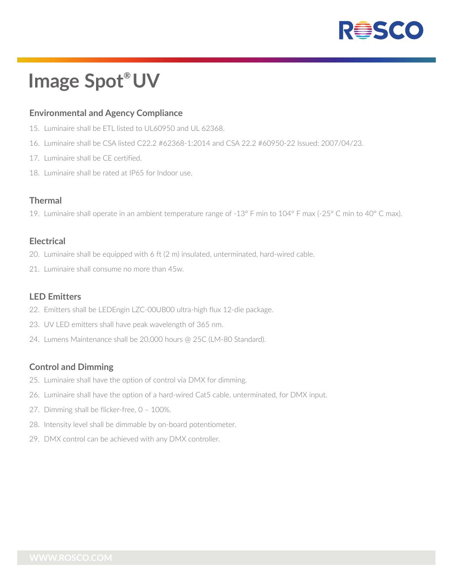

## **Image Spot® UV**

### **Environmental and Agency Compliance**

- 15. Luminaire shall be ETL listed to UL60950 and UL 62368.
- 16. Luminaire shall be CSA listed C22.2 #62368-1:2014 and CSA 22.2 #60950-22 Issued: 2007/04/23.
- 17. Luminaire shall be CE certified.
- 18. Luminaire shall be rated at IP65 for Indoor use.

#### **Thermal**

19. Luminaire shall operate in an ambient temperature range of -13° F min to 104° F max (-25° C min to 40° C max).

#### **Electrical**

- 20. Luminaire shall be equipped with 6 ft (2 m) insulated, unterminated, hard-wired cable.
- 21. Luminaire shall consume no more than 45w.

#### **LED Emitters**

- 22. Emitters shall be LEDEngin LZC-00UB00 ultra-high flux 12-die package.
- 23. UV LED emitters shall have peak wavelength of 365 nm.
- 24. Lumens Maintenance shall be 20,000 hours @ 25C (LM-80 Standard).

## **Control and Dimming**

- 25. Luminaire shall have the option of control via DMX for dimming.
- 26. Luminaire shall have the option of a hard-wired Cat5 cable, unterminated, for DMX input.
- 27. Dimming shall be flicker-free, 0 100%.
- 28. Intensity level shall be dimmable by on-board potentiometer.
- 29. DMX control can be achieved with any DMX controller.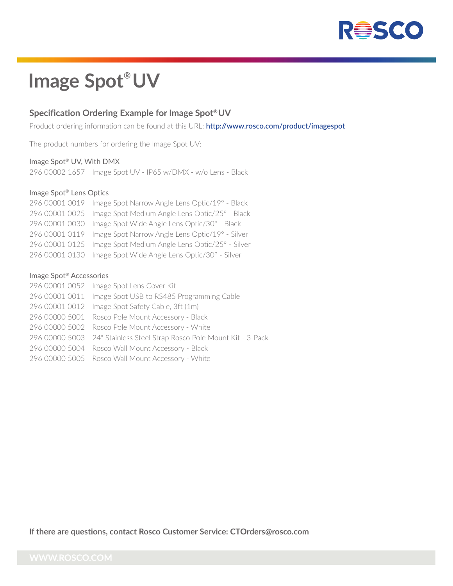

## **Image Spot® UV**

### **Specification Ordering Example for Image Spot®UV**

Product ordering information can be found at this URL: **http://www.rosco.com/product/imagespot**

The product numbers for ordering the Image Spot UV:

#### Image Spot® UV, With DMX

296 00002 1657 Image Spot UV - IP65 w/DMX - w/o Lens - Black

#### Image Spot® Lens Optics

| 296 00001 0019 Image Spot Narrow Angle Lens Optic/19° - Black  |
|----------------------------------------------------------------|
| 296 00001 0025 Image Spot Medium Angle Lens Optic/25° - Black  |
| 296 00001 0030 Image Spot Wide Angle Lens Optic/30° - Black    |
| 296 00001 0119 Image Spot Narrow Angle Lens Optic/19° - Silver |
| 296 00001 0125 Image Spot Medium Angle Lens Optic/25° - Silver |
| 296 00001 0130 Image Spot Wide Angle Lens Optic/30° - Silver   |

#### Image Spot® Accessories

| 296 00001 0052 Image Spot Lens Cover Kit                               |
|------------------------------------------------------------------------|
| 296 00001 0011 Image Spot USB to RS485 Programming Cable               |
| 296 00001 0012 Image Spot Safety Cable, 3ft (1m)                       |
| 296 00000 5001 Rosco Pole Mount Accessory - Black                      |
| 296 00000 5002 Rosco Pole Mount Accessory - White                      |
| 296 00000 5003 24" Stainless Steel Strap Rosco Pole Mount Kit - 3-Pack |
| 296 00000 5004 Rosco Wall Mount Accessory - Black                      |
| 296 00000 5005 Rosco Wall Mount Accessory - White                      |

**If there are questions, contact Rosco Customer Service: CTOrders@rosco.com**